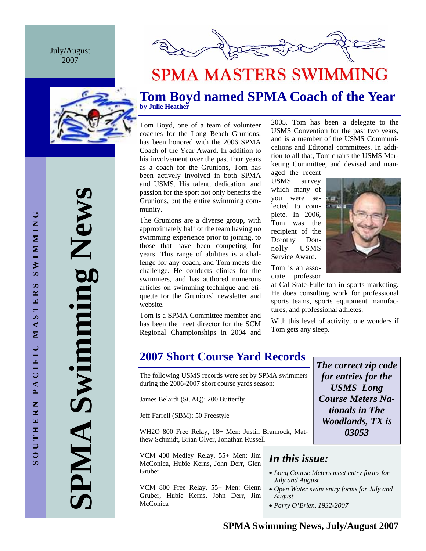July/August 2007







# **SPMA MASTERS SWIMMING**

# **Tom Boyd named SPMA Coach of the Year by Julie Heather**

Tom Boyd, one of a team of volunteer coaches for the Long Beach Grunions, has been honored with the 2006 SPMA Coach of the Year Award. In addition to his involvement over the past four years as a coach for the Grunions, Tom has been actively involved in both SPMA and USMS. His talent, dedication, and passion for the sport not only benefits the Grunions, but the entire swimming community.

The Grunions are a diverse group, with approximately half of the team having no swimming experience prior to joining, to those that have been competing for years. This range of abilities is a challenge for any coach, and Tom meets the challenge. He conducts clinics for the swimmers, and has authored numerous articles on swimming technique and etiquette for the Grunions' newsletter and website.

Tom is a SPMA Committee member and has been the meet director for the SCM Regional Championships in 2004 and

2005. Tom has been a delegate to the USMS Convention for the past two years, and is a member of the USMS Communications and Editorial committees. In addition to all that, Tom chairs the USMS Marketing Committee, and devised and man-

aged the recent USMS survey which many of you were selected to complete. In 2006, Tom was the recipient of the Dorothy Donnolly USMS Service Award.



Tom is an associate professor

at Cal State-Fullerton in sports marketing. He does consulting work for professional sports teams, sports equipment manufactures, and professional athletes.

With this level of activity, one wonders if Tom gets any sleep.

**2007 Short Course Yard Records** 

The following USMS records were set by SPMA swimmers during the 2006-2007 short course yards season:

James Belardi (SCAQ): 200 Butterfly

Jeff Farrell (SBM): 50 Freestyle

WH2O 800 Free Relay, 18+ Men: Justin Brannock, Matthew Schmidt, Brian Olver, Jonathan Russell

VCM 400 Medley Relay, 55+ Men: Jim McConica, Hubie Kerns, John Derr, Glen Gruber

VCM 800 Free Relay, 55+ Men: Glenn Gruber, Hubie Kerns, John Derr, Jim McConica

*The correct zip code for entries for the USMS Long Course Meters Nationals in The Woodlands, TX is 03053* 

# *In this issue:*

- *Long Course Meters meet entry forms for July and August*
- *Open Water swim entry forms for July and August*
- *Parry O'Brien, 1932-2007*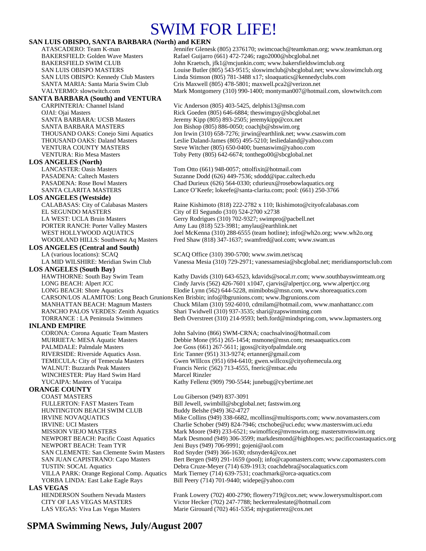# SWIM FOR LIFE!

### **SAN LUIS OBISPO, SANTA BARBARA (North) and KERN**

### **SANTA BARBARA (South) and VENTURA**

### **LOS ANGELES (North)**

**LOS ANGELES (Westside)** EL SEGUNDO MASTERS City of El Segundo (310) 524-2700 x2738

### **LOS ANGELES (Central and South)**

# **LOS ANGELES (South Bay)**

### **INLAND EMPIRE**

WINCHESTER: Play Hard Swim Hard Marcel Rinzler

## **ORANGE COUNTY**

COAST MASTERS Lou Giberson (949) 837-3091 HUNTINGTON BEACH SWIM CLUB<br>IRVINE NOVAQUATICS Mike Collins (949) 338-6682, NEWPORT BEACH: Team TYR Jeni Buys (949) 706-9991; gojeni@aol.com SAN CLEMENTE: San Clemente Swim Masters Rod Snyder (949) 366-1630; rdsnyder4@cox.net YORBA LINDA: East Lake Eagle Rays Bill Peery (714) 701-9440; widepe@yahoo.com **LAS VEGAS** 

ATASCADERO: Team K-man Jennifer Glenesk (805) 2376170; swimcoach@teamkman.org; www.teamkman.org BAKERSFIELD: Golden Wave Masters Rafael Guijarro (661) 472-7246; rago2000@sbcglobal.net BAKERSFIELD SWIM CLUB John Kraetsch, jfk1@mcjunkin.com; www.bakersfieldswimclub.org SAN LUIS OBISPO MASTERS Louise Butler (805) 543-9515; sloswimclub@sbcglobal.net; www.sloswimclub.org SAN LUIS OBISPO: Kennedy Club Masters Linda Stimson (805) 781-3488 x17; sloaquatics@kennedyclubs.com SANTA MARIA: Santa Maria Swim Club Cris Maxwell (805) 478-5801; maxwell.pca2@verizon.net VALYERMO: slowtwitch.com Mark Montgomery (310) 990-1400; montyman007@hotmail.com, slowtwitch.com

CARPINTERIA: Channel Island Vic Anderson (805) 403-5425, delphis13@msn.com OJAI: Ojai Masters Rick Goeden (805) 646-6884; theswimguy@sbcglobal.net SANTA BARBARA: UCSB Masters Jeremy Kipp (805) 893-2505; jeremykipp@cox.net SANTA BARBARA MASTERS Jon Bishop (805) 886-0050; coachjb@sbswim.org THOUSAND OAKS: Conejo Simi Aquatics Jon Irwin (310) 658-7276; jirwin@earthlink.net; www.csaswim.com THOUSAND OAKS: Daland Masters Leslie Daland-James (805) 495-5210; lesliedaland@yahoo.com VENTURA COUNTY MASTERS Steve Witcher (805) 650-0400; buenaswim@yahoo.com VENTURA: Rio Mesa Masters Toby Petty (805) 642-6674; tonthego00@sbcglobal.net

LANCASTER: Oasis Masters Tom Otto (661) 948-0057; ottolfixit@hotmail.com PASADENA: Caltech Masters Suzanne Dodd (626) 449-7536; sdodd@ipac.caltech.edu PASADENA: Rose Bowl Masters Chad Durieux (626) 564-0330; cdurieux@rosebowlaquatics.org SANTA CLARITA MASTERS Lance O'Keefe; lokeefe@santa-clarita.com; pool: (661) 250-3766

Raine Kishimoto (818) 222-2782 x 110; lkishimoto@cityofcalabasas.com LA WEST: UCLA Bruin Masters Gerry Rodrigues (310) 702-9327; swimpro@pacbell.net PORTER RANCH: Porter Valley Masters Amy Lau (818) 523-3981; amylau@earthlink.net WEST HOLLYWOOD AQUATICS Joel McKenna (310) 288-6555 (team hotline); info@wh2o.org; www.wh2o.org WOODLAND HILLS: Southwest Aq Masters Fred Shaw (818) 347-1637; swamfred@aol.com; www.swam.us

LA (various locations): SCAQ SCAQ Office (310) 390-5700; www.swim.net/scaq LA MID WILSHIRE: Meridian Swim Club Vanessa Mesia (310) 729-2971; vanessamesia@sbcglobal.net; meridiansportsclub.com

Kathy Davids (310) 643-6523, kdavids @socal.rr.com; www.southbayswimteam.org LONG BEACH: Alpert JCC Cindy Jarvis (562) 426-7601 x1047, cjarvis @alpertjcc.org, www.alpertjcc.org<br>LONG BEACH: Shore Aquatics Elodie Lynn (562) 644-5228, mimibobs @msn.com, www.shoreaquatics.com Elodie Lynn (562) 644-5228, mimibobs@msn.com, www.shoreaquatics.com CARSON/LOS ALAMITOS: Long Beach Grunions Ken Brisbin; info@lbgrunions.com; www.lbgrunions.com MANHATTAN BEACH: Magnum Masters Chuck Milam (310) 592-6010, cdmilam@hotmail.com, www.manhattancc.com RANCHO PALOS VERDES: Zenith Aquatics Shari Twidwell (310) 937-3535; shari@zapswimming.com

TORRANCE : LA Peninsula Swimmers Beth Overstreet (310) 214-9593; beth.ford@mindspring.com, www.lapmasters.org CORONA: Corona Aquatic Team Masters John Salvino (866) SWM-CRNA; coachsalvino@hotmail.com

MURRIETA: MESA Aquatic Masters Debbie Mone (951) 265-1454; msmone@msn.com; mesaaquatics.com PALMDALE: Palmdale Masters Joe Goss (661) 267-5611; jgoss@cityofpalmdale.org RIVERSIDE: Riverside Aquatics Assn. Eric Tanner (951) 313-9274; ertanner@gmail.com TEMECULA: City of Temecula Masters Gwen WIllcox (951) 694-6410; gwen.willcox@cityoftemecula.org<br>WALNUT: Buzzards Peak Masters Francis Neric (562) 713-4555, fneric@mtsac.edu Francis Neric (562) 713-4555, fneric@mtsac.edu YUCAIPA: Masters of Yucaipa Kathy Fellenz (909) 790-5544; junebug@cybertime.net

FULLERTON: FAST Masters Team Bill Jewell, swimbill@sbcglobal.net; fastswim.org Mike Collins (949) 338-6682, mcollins@multisports.com; www.novamasters.com IRVINE: UCI Masters Charlie Schober (949) 824-7946; ctschobe@uci.edu; www.masterswim.uci.edu<br>MISSION VIEJO MASTERS Mark Moore (949) 233-6521; swimoffice@mvnswim.org; mastersmvnswim.org Mark Moore (949) 233-6521; swimoffice@mvnswim.org; mastersmvnswim.org NEWPORT BEACH: Pacific Coast Aquatics Mark Desmond (949) 306-3599; markdesmond@highhopes.ws; pacificcoastaquatics.org SAN JUAN CAPISTRANO: Capo Masters Bert Bergen (949) 291-1659 (pool); info@capomasters.com; www.capomasters.com TUSTIN: SOCAL Aquatics Debra Cruze-Meyer (714) 639-1913; coachdebra@socalaquatics.com VILLA PARK: Orange Regional Comp. Aquatics Mark Tierney (714) 639-7531; coachmark@orca-aquatics.com

HENDERSON Southern Nevada Masters Frank Lowery (702) 400-2790; flowery719@cox.net; www.lowerysmultisport.com CITY OF LAS VEGAS MASTERS Victor Hecker (702) 247-7788; heckerrealestate@hotmail.com LAS VEGAS: Viva Las Vegas Masters Marie Girouard (702) 461-5354; mjvgutierrez@cox.net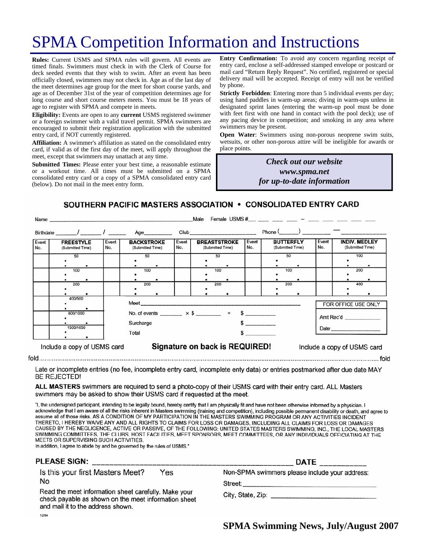# SPMA Competition Information and Instructions

**Rules:** Current USMS and SPMA rules will govern. All events are timed finals. Swimmers must check in with the Clerk of Course for deck seeded events that they wish to swim. After an event has been officially closed, swimmers may not check in. Age as of the last day of the meet determines age group for the meet for short course yards, and age as of December 31st of the year of competition determines age for long course and short course meters meets. You must be 18 years of age to register with SPMA and compete in meets.

**Eligibility:** Events are open to any **current** USMS registered swimmer or a foreign swimmer with a valid travel permit. SPMA swimmers are encouraged to submit their registration application with the submitted entry card, if NOT currently registered.

**Affiliation:** A swimmer's affiliation as stated on the consolidated entry card, if valid as of the first day of the meet, will apply throughout the meet, except that swimmers may unattach at any time.

**Submitted Times:** Please enter your best time, a reasonable estimate or a workout time. All times must be submitted on a SPMA consolidated entry card or a copy of a SPMA consolidated entry card (below). Do not mail in the meet entry form.

**Entry Confirmation:** To avoid any concern regarding receipt of entry card, enclose a self-addressed stamped envelope or postcard or mail card "Return Reply Request". No certified, registered or special delivery mail will be accepted. Receipt of entry will not be verified by phone.

**Strictly Forbidden**: Entering more than 5 individual events per day; using hand paddles in warm-up areas; diving in warm-ups unless in designated sprint lanes (entering the warm-up pool must be done with feet first with one hand in contact with the pool deck); use of any pacing device in competition; and smoking in any area where swimmers may be present.

**Open Water**: Swimmers using non-porous neoprene swim suits, wetsuits, or other non-porous attire will be ineligible for awards or place points.

> *Check out our website www.spma.net for up-to-date information*

SOUTHERN PACIFIC MASTERS ASSOCIATION • CONSOLIDATED ENTRY CARD

| Name         |                                      |                                                       |                                                                         |              |              | Female USMS $\#$ $-$<br>Male            |                                                                                                                                                                                                                                |              |                                      |           |                             |                                          |     |  |
|--------------|--------------------------------------|-------------------------------------------------------|-------------------------------------------------------------------------|--------------|--------------|-----------------------------------------|--------------------------------------------------------------------------------------------------------------------------------------------------------------------------------------------------------------------------------|--------------|--------------------------------------|-----------|-----------------------------|------------------------------------------|-----|--|
|              | Birthdate _______/ _______/ ________ |                                                       |                                                                         | Age_________ |              |                                         | Club and the contract of the contract of the contract of the contract of the contract of the contract of the contract of the contract of the contract of the contract of the contract of the contract of the contract of the c |              | $Phone($ $)$ $)$ $)$                 |           |                             |                                          |     |  |
| Event<br>No. | <b>FREESTYLE</b><br>(Submitted Time) | Event<br><b>BACKSTROKE</b><br>No.<br>(Submitted Time) |                                                                         |              | Event<br>No. | <b>BREASTSTROKE</b><br>(Submitted Time) |                                                                                                                                                                                                                                | Event<br>No. | <b>BUTTERFLY</b><br>(Submitted Time) |           | Event<br>No.                | <b>INDIV. MEDLEY</b><br>(Submitted Time) |     |  |
|              | 50                                   |                                                       | 50                                                                      |              |              |                                         | 50                                                                                                                                                                                                                             |              |                                      | 50        |                             |                                          | 100 |  |
|              | 100                                  |                                                       | 100                                                                     |              |              |                                         | 100                                                                                                                                                                                                                            |              |                                      | 100       |                             |                                          | 200 |  |
|              | 200                                  |                                                       | 200                                                                     |              |              |                                         | 200                                                                                                                                                                                                                            |              |                                      | 200       |                             |                                          | 400 |  |
|              | 400/500                              |                                                       |                                                                         |              |              |                                         |                                                                                                                                                                                                                                |              |                                      |           | FOR OFFICE USE ONLY         |                                          |     |  |
| 800/1000     |                                      |                                                       | No. of events ________ $\times$ \$ ________ = \$ _________<br>Surcharge |              |              |                                         |                                                                                                                                                                                                                                |              |                                      | Amt Rec'd |                             |                                          |     |  |
| 1500/1650    |                                      |                                                       | Total                                                                   |              |              |                                         |                                                                                                                                                                                                                                |              |                                      |           |                             |                                          |     |  |
|              | Include a copy of USMS card          |                                                       | Signature on back is REQUIRED!                                          |              |              |                                         |                                                                                                                                                                                                                                |              |                                      |           | Include a copy of USMS card |                                          |     |  |

Late or incomplete entries (no fee, incomplete entry card, incomplete enty data) or entries postmarked after due date MAY **BE REJECTED!** 

ALL MASTERS swimmers are required to send a photo-copy of their USMS card with their entry card. ALL Masters swimmers may be asked to show their USMS card if requested at the meet.

"I, the undersigned participant, intending to be legally bound, hereby certify that I am physically fit and have not been otherwise informed by a physician. I acknowledge that I am aware of all the risks inherent in Masters swimming (training and competition), including possible permanent disability or death, and agree to assume all of those risks. AS A CONDITION OF MY PARTICIPATION IN THE MASTERS SWIMMING PROGRAM OR ANY ACTIVITIES INCIDENT THERETO, I HEREBY WAIVE ANY AND ALL RIGHTS TO CLAIMS FOR LOSS OR DAMAGES, INCLUDING ALL CLAIMS FOR LOSS OR DAMAGES CAUSED BY THE NEGLIGENCE, ACTIVE OR PASSIVE, OF THE FOLLOWING: UNITED STATES MASTERS SWIMMING, INC., THE LOCAL MASTERS SWIMMING COMMITTEES, THE CLUBS, HOST FACILITIES, MEET SPONSORS, MEET COMMITTEES, OR ANY INDIVIDUALS OFFICIATING AT THE MEETS OR SUPERVISING SUCH ACTIVITIES.

In addition, I agree to abide by and be governed by the rules of USMS."

## **PLEASE SIGN:**

Is this your first Masters Meet? Yes No

Read the meet information sheet carefully. Make your check payable as shown on the meet information sheet and mail it to the address shown. 12/94

| DAIL __________                                |  |
|------------------------------------------------|--|
| Non-SPMA swimmers please include your address: |  |
| Street:                                        |  |

City, State, Zip: Electric Article Article Article Article Article Article Article Article Article Article Article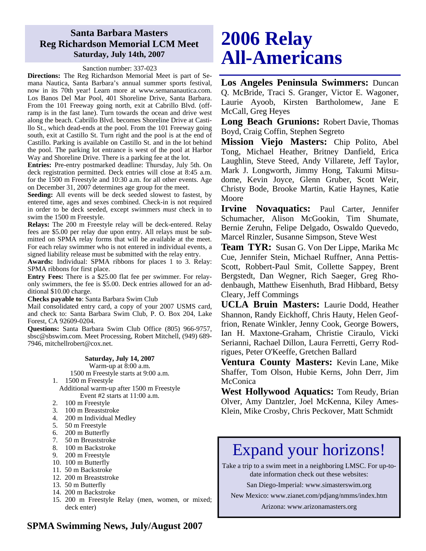# **Santa Barbara Masters Reg Richardson Memorial LCM Meet Saturday, July 14th, 2007**

### Sanction number: 337-023

**Directions:** The Reg Richardson Memorial Meet is part of Semana Nautica, Santa Barbara's annual summer sports festival, now in its 70th year! Learn more at www.semananautica.com. Los Banos Del Mar Pool, 401 Shoreline Drive, Santa Barbara. From the 101 Freeway going north, exit at Cabrillo Blvd. (offramp is in the fast lane). Turn towards the ocean and drive west along the beach. Cabrillo Blvd. becomes Shoreline Drive at Castillo St., which dead-ends at the pool. From the 101 Freeway going south, exit at Castillo St. Turn right and the pool is at the end of Castillo. Parking is available on Castillo St. and in the lot behind the pool. The parking lot entrance is west of the pool at Harbor Way and Shoreline Drive. There is a parking fee at the lot.

**Entries:** Pre-entry postmarked deadline: Thursday, July 5th. On deck registration permitted. Deck entries will close at 8:45 a.m. for the 1500 m Freestyle and 10:30 a.m. for all other events. Age on December 31, 2007 determines age group for the meet.

**Seeding:** All events will be deck seeded slowest to fastest, by entered time, ages and sexes combined. Check-in is not required in order to be deck seeded, except swimmers *must* check in to swim the 1500 m Freestyle.

**Relays:** The 200 m Freestyle relay will be deck-entered. Relay fees are \$5.00 per relay due upon entry. All relays must be submitted on SPMA relay forms that will be available at the meet. For each relay swimmer who is not entered in individual events, a signed liability release must be submitted with the relay entry.

**Awards:** Individual: SPMA ribbons for places 1 to 3. Relay: SPMA ribbons for first place.

**Entry Fees:** There is a \$25.00 flat fee per swimmer. For relayonly swimmers, the fee is \$5.00. Deck entries allowed for an additional \$10.00 charge.

**Checks payable to**: Santa Barbara Swim Club

Mail consolidated entry card, a copy of your 2007 USMS card, and check to: Santa Barbara Swim Club, P. O. Box 204, Lake Forest, CA 92609-0204.

**Questions:** Santa Barbara Swim Club Office (805) 966-9757, sbsc@sbswim.com. Meet Processing, Robert Mitchell, (949) 689- 7946, mitchellrobert@cox.net.

#### **Saturday, July 14, 2007**

Warm-up at 8:00 a.m. 1500 m Freestyle starts at 9:00 a.m.

1. 1500 m Freestyle

Additional warm-up after 1500 m Freestyle Event #2 starts at 11:00 a.m.

- 2. 100 m Freestyle
- 3. 100 m Breaststroke
- 4. 200 m Individual Medley
- 5. 50 m Freestyle
- 6. 200 m Butterfly
- 7. 50 m Breaststroke
- 8. 100 m Backstroke
- 9. 200 m Freestyle
- 10. 100 m Butterfly
- 11. 50 m Backstroke
- 12. 200 m Breaststroke
- 13. 50 m Butterfly
- 14. 200 m Backstroke
- 15. 200 m Freestyle Relay (men, women, or mixed; deck enter)

# **2006 Relay All-Americans**

**Los Angeles Peninsula Swimmers:** Duncan Q. McBride, Traci S. Granger, Victor E. Wagoner, Laurie Ayoob, Kirsten Bartholomew, Jane E McCall, Greg Heyes

**Long Beach Grunions:** Robert Davie, Thomas Boyd, Craig Coffin, Stephen Segreto

**Mission Viejo Masters:** Chip Polito, Abel Tong, Michael Heather, Britney Danfield, Erica Laughlin, Steve Steed, Andy Villarete, Jeff Taylor, Mark J. Longworth, Jimmy Hong, Takumi Mitsudome, Kevin Joyce, Glenn Gruber, Scott Weir, Christy Bode, Brooke Martin, Katie Haynes, Katie Moore

**Irvine Novaquatics:** Paul Carter, Jennifer Schumacher, Alison McGookin, Tim Shumate, Bernie Zeruhn, Felipe Delgado, Oswaldo Quevedo, Marcel Rinzler, Susanne Simpson, Steve West

**Team TYR:** Susan G. Von Der Lippe, Marika Mc Cue, Jennifer Stein, Michael Ruffner, Anna Pettis-Scott, Robbert-Paul Smit, Collette Sappey, Brent Bergstedt, Dan Wegner, Rich Saeger, Greg Rhodenbaugh, Matthew Eisenhuth, Brad Hibbard, Betsy Cleary, Jeff Commings

**UCLA Bruin Masters:** Laurie Dodd, Heather Shannon, Randy Eickhoff, Chris Hauty, Helen Geoffrion, Renate Winkler, Jenny Cook, George Bowers, Ian H. Maxtone-Graham, Christie Ciraulo, Vicki Serianni, Rachael Dillon, Laura Ferretti, Gerry Rodrigues, Peter O'Keeffe, Gretchen Ballard

**Ventura County Masters:** Kevin Lane, Mike Shaffer, Tom Olson, Hubie Kerns, John Derr, Jim **McConica** 

**West Hollywood Aquatics:** Tom Reudy, Brian Olver, Amy Dantzler, Joel McKenna, Kiley Ames-Klein, Mike Crosby, Chris Peckover, Matt Schmidt

# Expand your horizons!

Take a trip to a swim meet in a neighboring LMSC. For up-todate information check out these websites:

San Diego-Imperial: www.simasterswim.org

New Mexico: www.zianet.com/pdjang/nmms/index.htm

Arizona: www.arizonamasters.org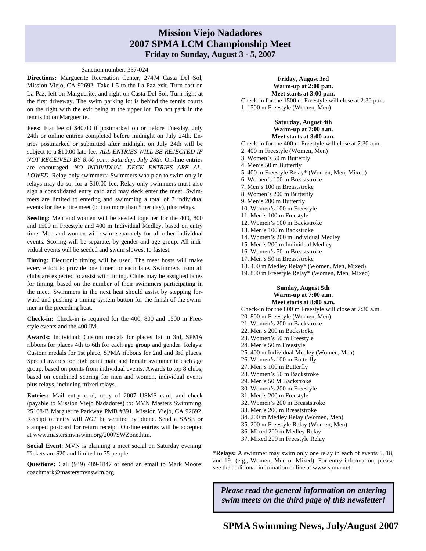# **Mission Viejo Nadadores 2007 SPMA LCM Championship Meet Friday to Sunday, August 3 - 5, 2007**

#### Sanction number: 337-024

**Directions:** Marguerite Recreation Center, 27474 Casta Del Sol, Mission Viejo, CA 92692. Take I-5 to the La Paz exit. Turn east on La Paz, left on Marguerite, and right on Casta Del Sol. Turn right at the first driveway. The swim parking lot is behind the tennis courts on the right with the exit being at the upper lot. Do not park in the tennis lot on Marguerite.

Fees: Flat fee of \$40.00 if postmarked on or before Tuesday, July 24th or online entries completed before midnight on July 24th. Entries postmarked or submitted after midnight on July 24th will be subject to a \$10.00 late fee. *ALL ENTRIES WILL BE REJECTED IF NOT RECEIVED BY 8:00 p.m., Saturday, July 28th.* On-line entries are encouraged. *NO INDIVIDUAL DECK ENTRIES ARE AL-LOWED.* Relay-only swimmers: Swimmers who plan to swim only in relays may do so, for a \$10.00 fee. Relay-only swimmers must also sign a consolidated entry card and may deck enter the meet. Swimmers are limited to entering and swimming a total of 7 individual events for the entire meet (but no more than 5 per day), plus relays.

**Seeding**: Men and women will be seeded together for the 400, 800 and 1500 m Freestyle and 400 m Individual Medley, based on entry time. Men and women will swim separately for all other individual events. Scoring will be separate, by gender and age group. All individual events will be seeded and swum slowest to fastest.

**Timing:** Electronic timing will be used. The meet hosts will make every effort to provide one timer for each lane. Swimmers from all clubs are expected to assist with timing. Clubs may be assigned lanes for timing, based on the number of their swimmers participating in the meet. Swimmers in the next heat should assist by stepping forward and pushing a timing system button for the finish of the swimmer in the preceding heat.

**Check-in:** Check-in is required for the 400, 800 and 1500 m Freestyle events and the 400 IM.

**Awards:** Individual: Custom medals for places 1st to 3rd, SPMA ribbons for places 4th to 6th for each age group and gender. Relays: Custom medals for 1st place, SPMA ribbons for 2nd and 3rd places. Special awards for high point male and female swimmer in each age group, based on points from individual events. Awards to top 8 clubs, based on combined scoring for men and women, individual events plus relays, including mixed relays.

**Entries:** Mail entry card, copy of 2007 USMS card, and check (payable to Mission Viejo Nadadores) to: MVN Masters Swimming, 25108-B Marguerite Parkway PMB #391, Mission Viejo, CA 92692. Receipt of entry will *NOT* be verified by phone. Send a SASE or stamped postcard for return receipt. On-line entries will be accepted at www.mastersmvnswim.org/2007SWZone.htm.

**Social Event**: MVN is planning a meet social on Saturday evening. Tickets are \$20 and limited to 75 people.

**Questions:** Call (949) 489-1847 or send an email to Mark Moore: coachmark@mastersmvnswim.org

#### **Friday, August 3rd Warm-up at 2:00 p.m. Meet starts at 3:00 p.m.**

Check-in for the 1500 m Freestyle will close at 2:30 p.m. 1. 1500 m Freestyle (Women, Men)

## **Saturday, August 4th Warm-up at 7:00 a.m.**

**Meet starts at 8:00 a.m.**  Check-in for the 400 m Freestyle will close at 7:30 a.m. 2. 400 m Freestyle (Women, Men) 3. Women's 50 m Butterfly 4. Men's 50 m Butterfly 5. 400 m Freestyle Relay\* (Women, Men, Mixed) 6. Women's 100 m Breaststroke 7. Men's 100 m Breaststroke 8. Women's 200 m Butterfly 9. Men's 200 m Butterfly 10. Women's 100 m Freestyle 11. Men's 100 m Freestyle 12. Women's 100 m Backstroke 13. Men's 100 m Backstroke 14. Women's 200 m Individual Medley 15. Men's 200 m Individual Medley 16. Women's 50 m Breaststroke 17. Men's 50 m Breaststroke 18. 400 m Medley Relay\* (Women, Men, Mixed)

19. 800 m Freestyle Relay\* (Women, Men, Mixed)

#### **Sunday, August 5th Warm-up at 7:00 a.m. Meet starts at 8:00 a.m.**

Check-in for the 800 m Freestyle will close at 7:30 a.m.

- 20. 800 m Freestyle (Women, Men)
- 21. Women's 200 m Backstroke 22. Men's 200 m Backstroke
- 23. Women's 50 m Freestyle
- 24. Men's 50 m Freestyle
- 25. 400 m Individual Medley (Women, Men)
- 26. Women's 100 m Butterfly
- 27. Men's 100 m Butterfly
- 28. Women's 50 m Backstroke
- 29. Men's 50 M Backstroke
- 30. Women's 200 m Freestyle
- 31. Men's 200 m Freestyle
- 32. Women's 200 m Breaststroke
- 33. Men's 200 m Breaststroke
- 34. 200 m Medley Relay (Women, Men)
- 35. 200 m Freestyle Relay (Women, Men)
- 36. Mixed 200 m Medley Relay
- 37. Mixed 200 m Freestyle Relay

\***Relays:** A swimmer may swim only one relay in each of events 5, 18, and 19 (e.g., Women, Men or Mixed). For entry information, please see the additional information online at www.spma.net.

*Please read the general information on entering swim meets on the third page of this newsletter!*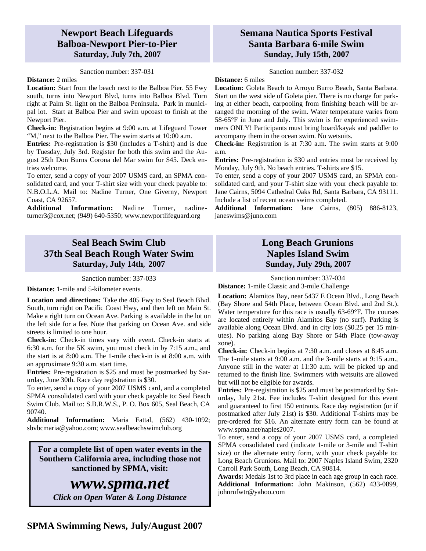# **Newport Beach Lifeguards Balboa-Newport Pier-to-Pier Saturday, July 7th, 2007**

#### Sanction number: 337-031

### **Distance:** 2 miles

**Location:** Start from the beach next to the Balboa Pier. 55 Fwy south, turns into Newport Blvd, turns into Balboa Blvd. Turn right at Palm St. light on the Balboa Peninsula. Park in municipal lot. Start at Balboa Pier and swim upcoast to finish at the Newport Pier.

**Check-in:** Registration begins at 9:00 a.m. at Lifeguard Tower "M," next to the Balboa Pier. The swim starts at 10:00 a.m.

**Entries:** Pre-registration is \$30 (includes a T-shirt) and is due by Tuesday, July 3rd. Register for both this swim and the August 25th Don Burns Corona del Mar swim for \$45. Deck entries welcome.

To enter, send a copy of your 2007 USMS card, an SPMA consolidated card, and your T-shirt size with your check payable to: N.B.O.L.A. Mail to: Nadine Turner, One Giverny, Newport Coast, CA 92657.

**Additional Information:** Nadine Turner, nadineturner3@cox.net; (949) 640-5350; www.newportlifeguard.org

# **Seal Beach Swim Club 37th Seal Beach Rough Water Swim Saturday, July 14th, 2007**

Sanction number: 337-033

**Distance:** 1-mile and 5-kilometer events.

**Location and directions:** Take the 405 Fwy to Seal Beach Blvd. South, turn right on Pacific Coast Hwy, and then left on Main St. Make a right turn on Ocean Ave. Parking is available in the lot on the left side for a fee. Note that parking on Ocean Ave. and side streets is limited to one hour.

**Check-in:** Check-in times vary with event. Check-in starts at 6:30 a.m. for the 5K swim, you must check in by 7:15 a.m., and the start is at 8:00 a.m. The 1-mile check-in is at 8:00 a.m. with an approximate 9:30 a.m. start time.

**Entries:** Pre-registration is \$25 and must be postmarked by Saturday, June 30th. Race day registration is \$30.

To enter, send a copy of your 2007 USMS card, and a completed SPMA consolidated card with your check payable to: Seal Beach Swim Club. Mail to: S.B.R.W.S., P. O. Box 605, Seal Beach, CA 90740.

**Additional Information:** Maria Fattal, (562) 430-1092; sbvbcmaria@yahoo.com; www.sealbeachswimclub.org

**For a complete list of open water events in the Southern California area, including those not sanctioned by SPMA, visit:** 

# *www.spma.net*

*Click on Open Water & Long Distance* 

# **Semana Nautica Sports Festival Santa Barbara 6-mile Swim Sunday, July 15th, 2007**

Sanction number: 337-032

#### **Distance:** 6 miles

**Location:** Goleta Beach to Arroyo Burro Beach, Santa Barbara. Start on the west side of Goleta pier. There is no charge for parking at either beach, carpooling from finishing beach will be arranged the morning of the swim. Water temperature varies from 58-65°F in June and July. This swim is for experienced swimmers ONLY! Participants must bring board/kayak and paddler to accompany them in the ocean swim. No wetsuits.

**Check-in:** Registration is at 7:30 a.m. The swim starts at 9:00 a.m.

**Entries:** Pre-registration is \$30 and entries must be received by Monday, July 9th. No beach entries. T-shirts are \$15.

To enter, send a copy of your 2007 USMS card, an SPMA consolidated card, and your T-shirt size with your check payable to: Jane Cairns, 5094 Cathedral Oaks Rd, Santa Barbara, CA 93111. Include a list of recent ocean swims completed.

**Additional Information:** Jane Cairns, (805) 886-8123, janeswims@juno.com

# **Long Beach Grunions Naples Island Swim Sunday, July 29th, 2007**

### Sanction number: 337-034

**Distance:** 1-mile Classic and 3-mile Challenge

**Location:** Alamitos Bay, near 5437 E Ocean Blvd., Long Beach (Bay Shore and 54th Place, between Ocean Blvd. and 2nd St.). Water temperature for this race is usually 63-69°F. The courses are located entirely within Alamitos Bay (no surf). Parking is available along Ocean Blvd. and in city lots (\$0.25 per 15 minutes). No parking along Bay Shore or 54th Place (tow-away zone).

**Check-in:** Check-in begins at 7:30 a.m. and closes at 8:45 a.m. The 1-mile starts at 9:00 a.m. and the 3-mile starts at 9:15 a.m., Anyone still in the water at 11:30 a.m. will be picked up and returned to the finish line. Swimmers with wetsuits are allowed but will not be eligible for awards.

**Entries:** Pre-registration is \$25 and must be postmarked by Saturday, July 21st. Fee includes T-shirt designed for this event and guaranteed to first 150 entrants. Race day registration (or if postmarked after July 21st) is \$30. Additional T-shirts may be pre-ordered for \$16. An alternate entry form can be found at www.spma.net/naples2007.

To enter, send a copy of your 2007 USMS card, a completed SPMA consolidated card (indicate 1-mile or 3-mile and T-shirt size) or the alternate entry form, with your check payable to: Long Beach Grunions. Mail to: 2007 Naples Island Swim, 2320 Carroll Park South, Long Beach, CA 90814.

**Awards:** Medals 1st to 3rd place in each age group in each race. **Additional Information:** John Makinson, (562) 433-0899, johnrufwtr@yahoo.com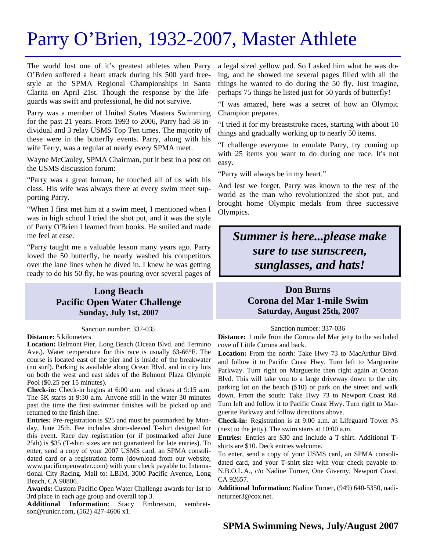# Parry O'Brien, 1932-2007, Master Athlete

The world lost one of it's greatest athletes when Parry O'Brien suffered a heart attack during his 500 yard freestyle at the SPMA Regional Championships in Santa Clarita on April 21st. Though the response by the lifeguards was swift and professional, he did not survive.

Parry was a member of United States Masters Swimming for the past 21 years. From 1993 to 2006, Parry had 58 individual and 3 relay USMS Top Ten times. The majority of these were in the butterfly events. Parry, along with his wife Terry, was a regular at nearly every SPMA meet.

Wayne McCauley, SPMA Chairman, put it best in a post on the USMS discussion forum:

"Parry was a great human, he touched all of us with his class. His wife was always there at every swim meet supporting Parry.

"When I first met him at a swim meet, I mentioned when I was in high school I tried the shot put, and it was the style of Parry O'Brien I learned from books. He smiled and made me feel at ease.

"Parry taught me a valuable lesson many years ago. Parry loved the 50 butterfly, he nearly washed his competitors over the lane lines when he dived in. I knew he was getting ready to do his 50 fly, he was pouring over several pages of

# **Long Beach Pacific Open Water Challenge Sunday, July 1st, 2007**

#### Sanction number: 337-035

#### **Distance:** 5 kilometers

**Location:** Belmont Pier, Long Beach (Ocean Blvd. and Termino Ave.). Water temperature for this race is usually 63-66°F. The course is located east of the pier and is inside of the breakwater (no surf). Parking is available along Ocean Blvd. and in city lots on both the west and east sides of the Belmont Plaza Olympic Pool (\$0.25 per 15 minutes).

**Check-in:** Check-in begins at 6:00 a.m. and closes at 9:15 a.m. The 5K starts at 9:30 a.m. Anyone still in the water 30 minutes past the time the first swimmer finishes will be picked up and returned to the finish line.

**Entries:** Pre-registration is \$25 and must be postmarked by Monday, June 25th. Fee includes short-sleeved T-shirt designed for this event. Race day registration (or if postmarked after June 25th) is \$35 (T-shirt sizes are not guaranteed for late entries). To enter, send a copy of your 2007 USMS card, an SPMA consolidated card or a registration form (download from our website, www.pacificopenwater.com) with your check payable to: International City Racing. Mail to: LBIM, 3000 Pacific Avenue, Long Beach, CA 90806.

**Awards:** Custom Pacific Open Water Challenge awards for 1st to 3rd place in each age group and overall top 3.

Additional Information: Stacy Embretson, sembretson@runicr.com, (562) 427-4606 x1.

a legal sized yellow pad. So I asked him what he was doing, and he showed me several pages filled with all the things he wanted to do during the 50 fly. Just imagine, perhaps 75 things he listed just for 50 yards of butterfly!

"I was amazed, here was a secret of how an Olympic Champion prepares.

"I tried it for my breaststroke races, starting with about 10 things and gradually working up to nearly 50 items.

"I challenge everyone to emulate Parry, try coming up with 25 items you want to do during one race. It's not easy.

"Parry will always be in my heart."

And lest we forget, Parry was known to the rest of the world as the man who revolutionized the shot put, and brought home Olympic medals from three successive Olympics.

# *Summer is here...please make sure to use sunscreen, sunglasses, and hats!*

# **Don Burns Corona del Mar 1-mile Swim Saturday, August 25th, 2007**

#### Sanction number: 337-036

**Distance:** 1 mile from the Corona del Mar jetty to the secluded cove of Little Corona and back.

**Location:** From the north: Take Hwy 73 to MacArthur Blvd. and follow it to Pacific Coast Hwy. Turn left to Marguerite Parkway. Turn right on Marguerite then right again at Ocean Blvd. This will take you to a large driveway down to the city parking lot on the beach (\$10) or park on the street and walk down. From the south: Take Hwy 73 to Newport Coast Rd. Turn left and follow it to Pacific Coast Hwy. Turn right to Marguerite Parkway and follow directions above.

**Check-in:** Registration is at 9:00 a.m. at Lifeguard Tower #3 (next to the jetty). The swim starts at 10:00 a.m.

**Entries:** Entries are \$30 and include a T-shirt. Additional Tshirts are \$10. Deck entries welcome.

To enter, send a copy of your USMS card, an SPMA consolidated card, and your T-shirt size with your check payable to: N.B.O.L.A., c/o Nadine Turner, One Giverny, Newport Coast, CA 92657.

**Additional Information:** Nadine Turner, (949) 640-5350, nadineturner3@cox.net.